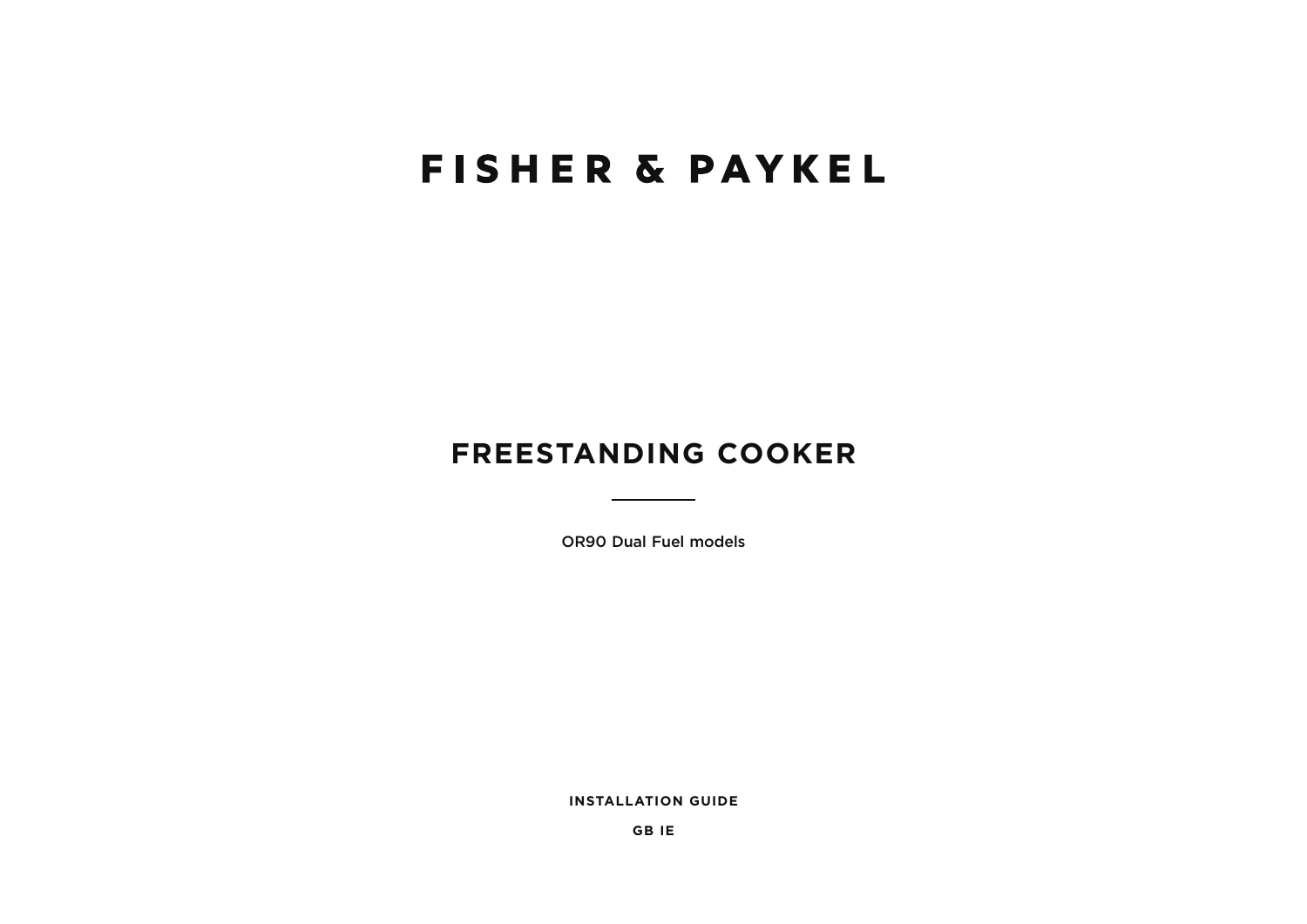# **FISHER & PAYKEL**

## **FREESTANDING COOKER**

**OR90 Dual Fuel models** 

**INSTALLATION GUIDE** 

**GBIE**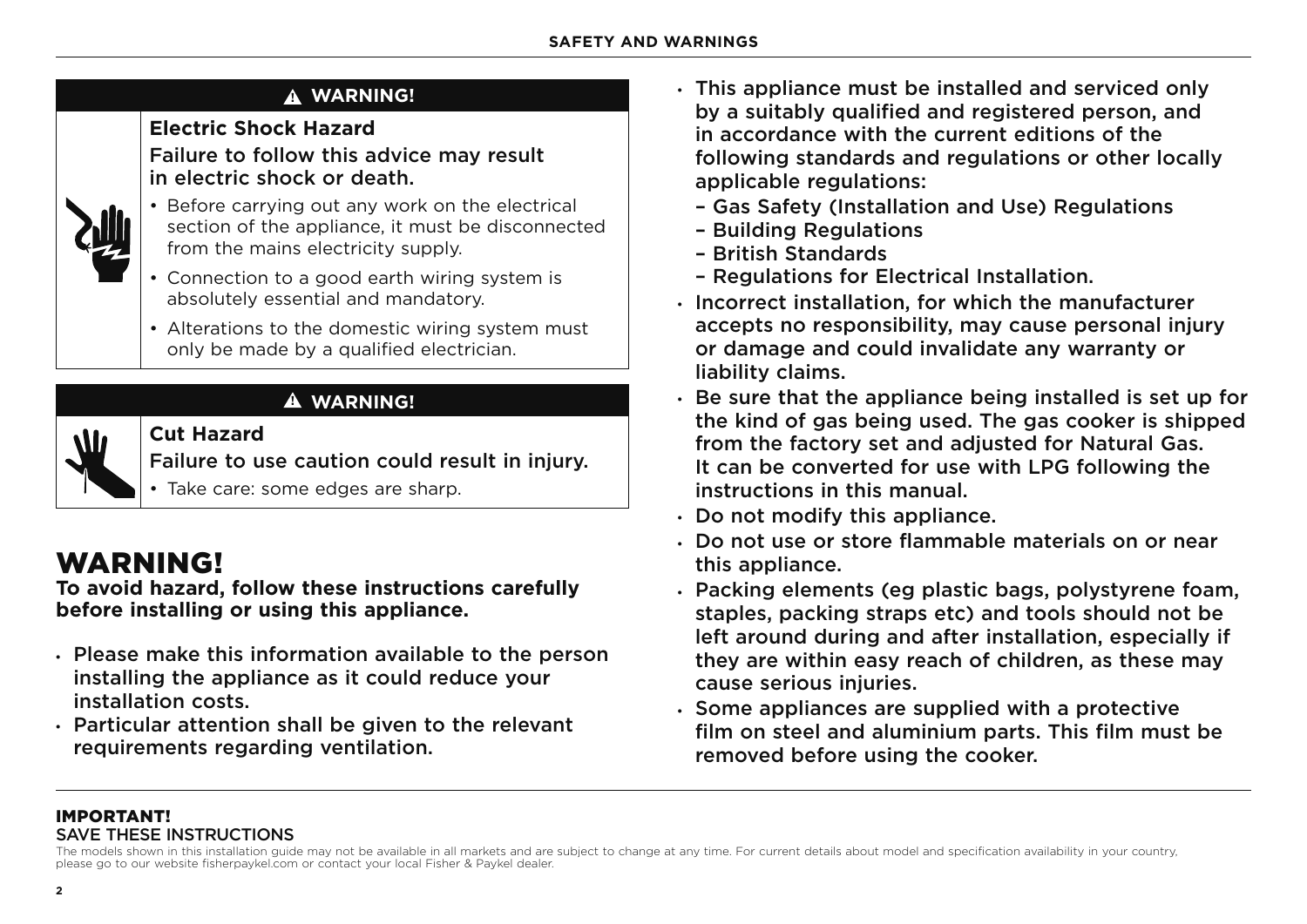## **! WARNING!**

## **Electric Shock Hazard**

Failure to follow this advice may result in electric shock or death.



- Before carrying out any work on the electrical section of the appliance, it must be disconnected from the mains electricity supply.
- Connection to a good earth wiring system is absolutely essential and mandatory.
- Alterations to the domestic wiring system must only be made by a qualified electrician.



## **! WARNING!**

**Cut Hazard** Failure to use caution could result in injury.

• Take care: some edges are sharp.

## WARNING!

**To avoid hazard, follow these instructions carefully before installing or using this appliance.**

- $\cdot$  Please make this information available to the person installing the appliance as it could reduce your installation costs.
- $\cdot$  Particular attention shall be given to the relevant requirements regarding ventilation.
- $\cdot$  This appliance must be installed and serviced only by a suitably qualified and registered person, and in accordance with the current editions of the following standards and regulations or other locally applicable regulations:
	- Gas Safety (Installation and Use) Regulations
	- Building Regulations
	- British Standards
	- Regulations for Electrical Installation.
- $\cdot$  Incorrect installation, for which the manufacturer accepts no responsibility, may cause personal injury or damage and could invalidate any warranty or liability claims.
- $\cdot$  Be sure that the appliance being installed is set up for the kind of gas being used. The gas cooker is shipped from the factory set and adjusted for Natural Gas. It can be converted for use with LPG following the instructions in this manual.
- $\cdot$  Do not modify this appliance.
- $\cdot$  Do not use or store flammable materials on or near this appliance.
- . Packing elements (eg plastic bags, polystyrene foam, staples, packing straps etc) and tools should not be left around during and after installation, especially if they are within easy reach of children, as these may cause serious injuries.
- $\cdot$  Some appliances are supplied with a protective film on steel and aluminium parts. This film must be removed before using the cooker.

## IMPORTANT! SAVE THESE INSTRUCTIONS

The models shown in this installation guide may not be available in all markets and are subject to change at any time. For current details about model and specification availability in your country, please go to our website fisherpaykel.com or contact your local Fisher & Paykel dealer.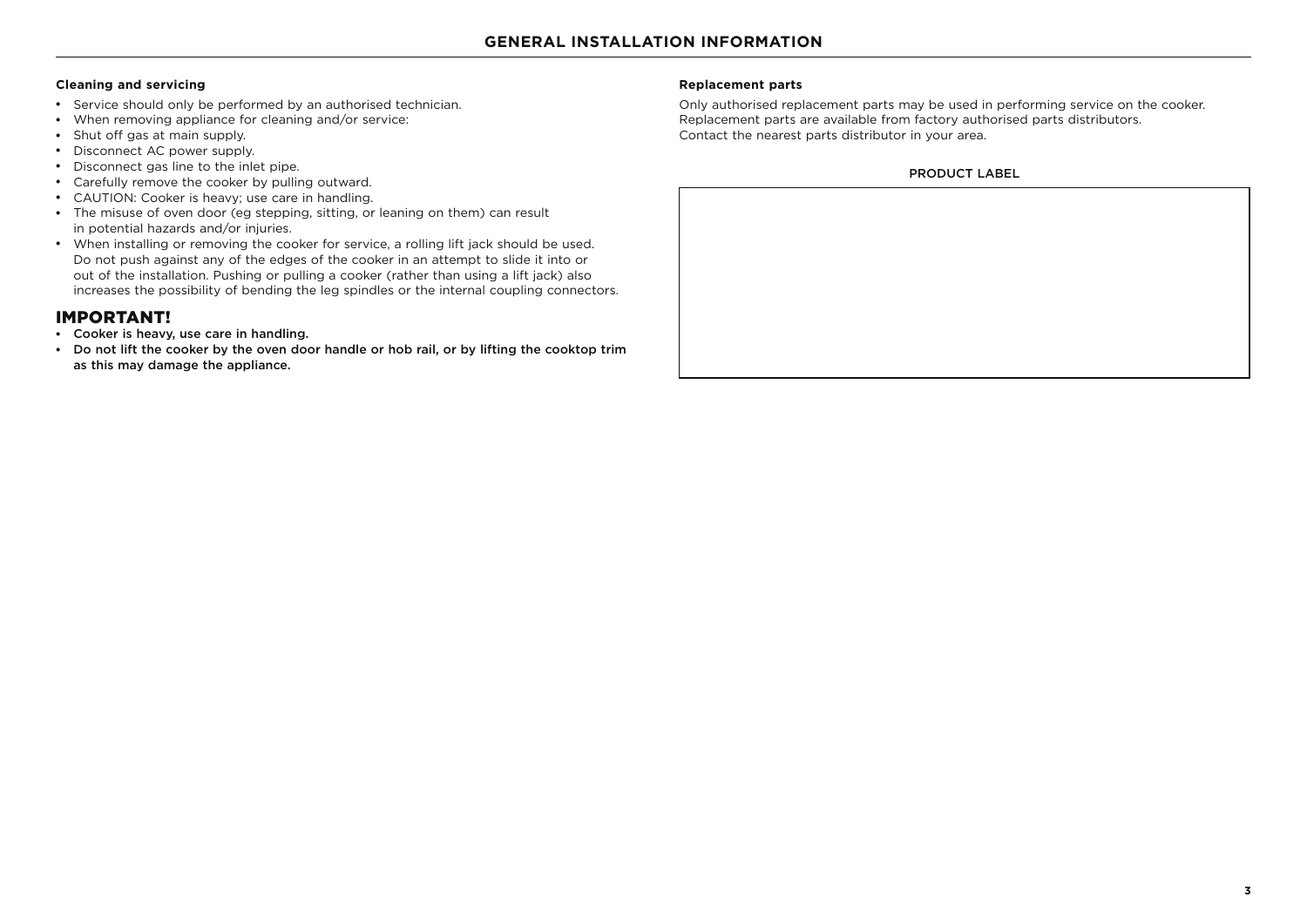#### **Cleaning and servicing**

- Service should only be performed by an authorised technician.
- When removing appliance for cleaning and/or service:
- Shut off gas at main supply.
- Disconnect AC power supply.
- Disconnect gas line to the inlet pipe.
- Carefully remove the cooker by pulling outward.
- CAUTION: Cooker is heavy; use care in handling.
- The misuse of oven door (eg stepping, sitting, or leaning on them) can result in potential hazards and/or injuries.
- When installing or removing the cooker for service, a rolling lift jack should be used. Do not push against any of the edges of the cooker in an attempt to slide it into or out of the installation. Pushing or pulling a cooker (rather than using a lift jack) also increases the possibility of bending the leg spindles or the internal coupling connectors.

### IMPORTANT!

- Cooker is heavy, use care in handling.
- Do not lift the cooker by the oven door handle or hob rail, or by lifting the cooktop trim as this may damage the appliance.

#### **Replacement parts**

Only authorised replacement parts may be used in performing service on the cooker. Replacement parts are available from factory authorised parts distributors. Contact the nearest parts distributor in your area.

#### PRODUCT LABEL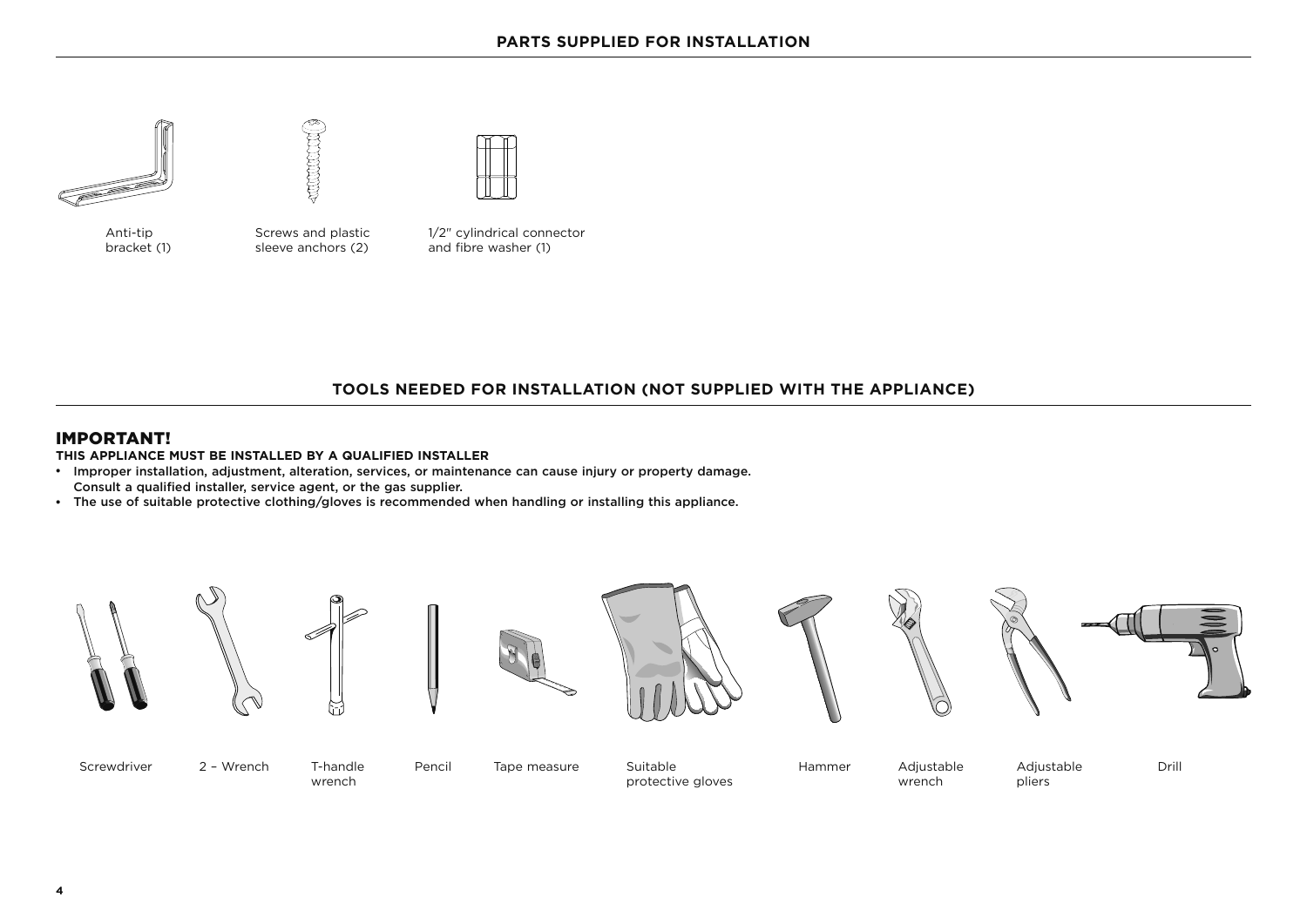



Anti-tip bracket (1) Screws and plastic sleeve anchors (2)



## **TOOLS NEEDED FOR INSTALLATION (NOT SUPPLIED WITH THE APPLIANCE)**

## IMPORTANT!

**THIS APPLIANCE MUST BE INSTALLED BY A QUALIFIED INSTALLER**

- Improper installation, adjustment, alteration, services, or maintenance can cause injury or property damage. Consult a qualified installer, service agent, or the gas supplier.
- The use of suitable protective clothing/gloves is recommended when handling or installing this appliance.

















Screwdriver 2 - Wrench T-handle

wrench

Pencil Tape measure Suitable

protective gloves

Hammer Adjustable wrench

Drill

Adjustable pliers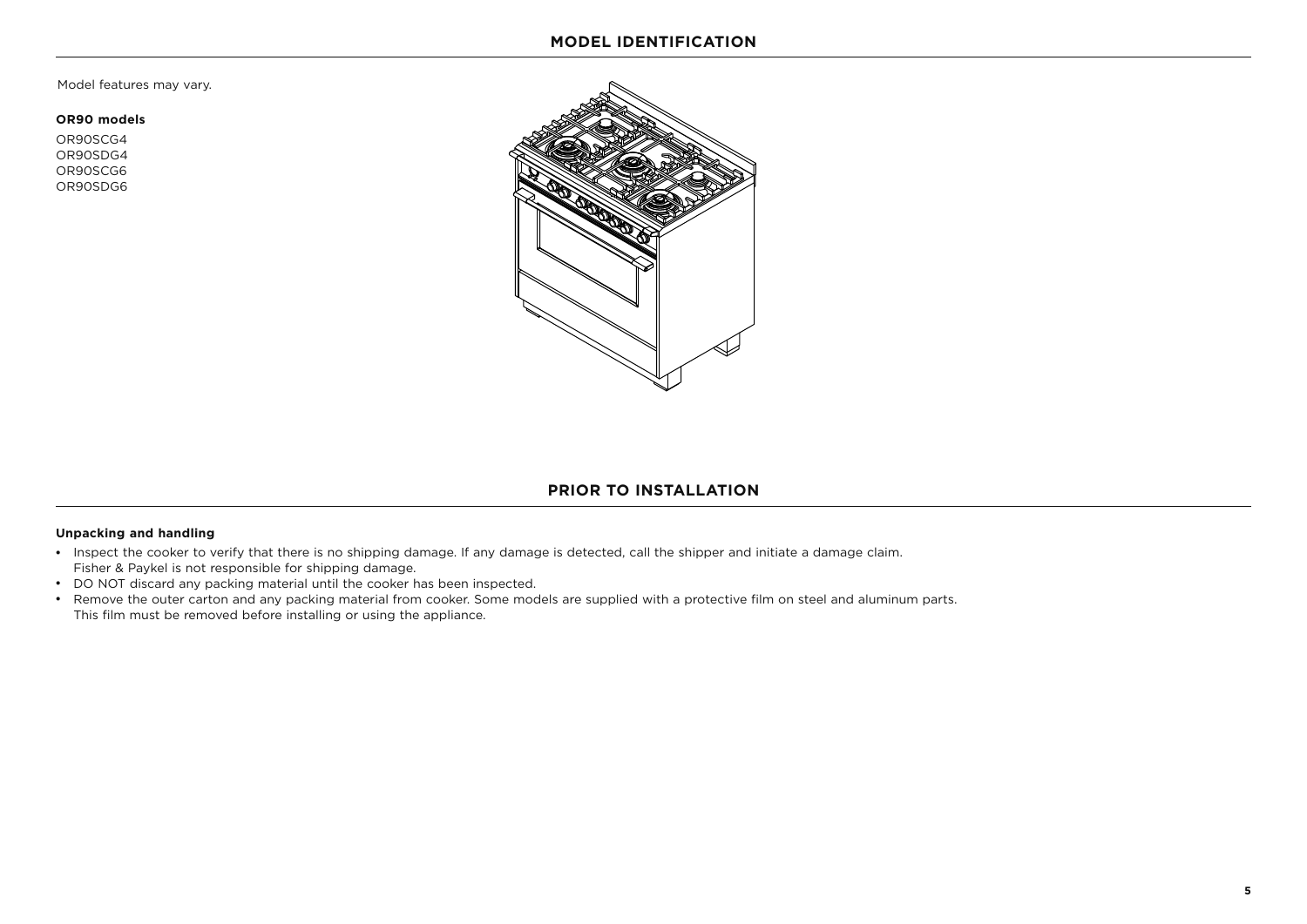Model features may vary.

#### **OR90 models**

OR90SCG4 OR90SDG4 OR90SCG6 OR90SDG6



#### **PRIOR TO INSTALLATION**

#### **Unpacking and handling**

- Inspect the cooker to verify that there is no shipping damage. If any damage is detected, call the shipper and initiate a damage claim. Fisher & Paykel is not responsible for shipping damage.
- DO NOT discard any packing material until the cooker has been inspected.
- Remove the outer carton and any packing material from cooker. Some models are supplied with a protective film on steel and aluminum parts. This film must be removed before installing or using the appliance.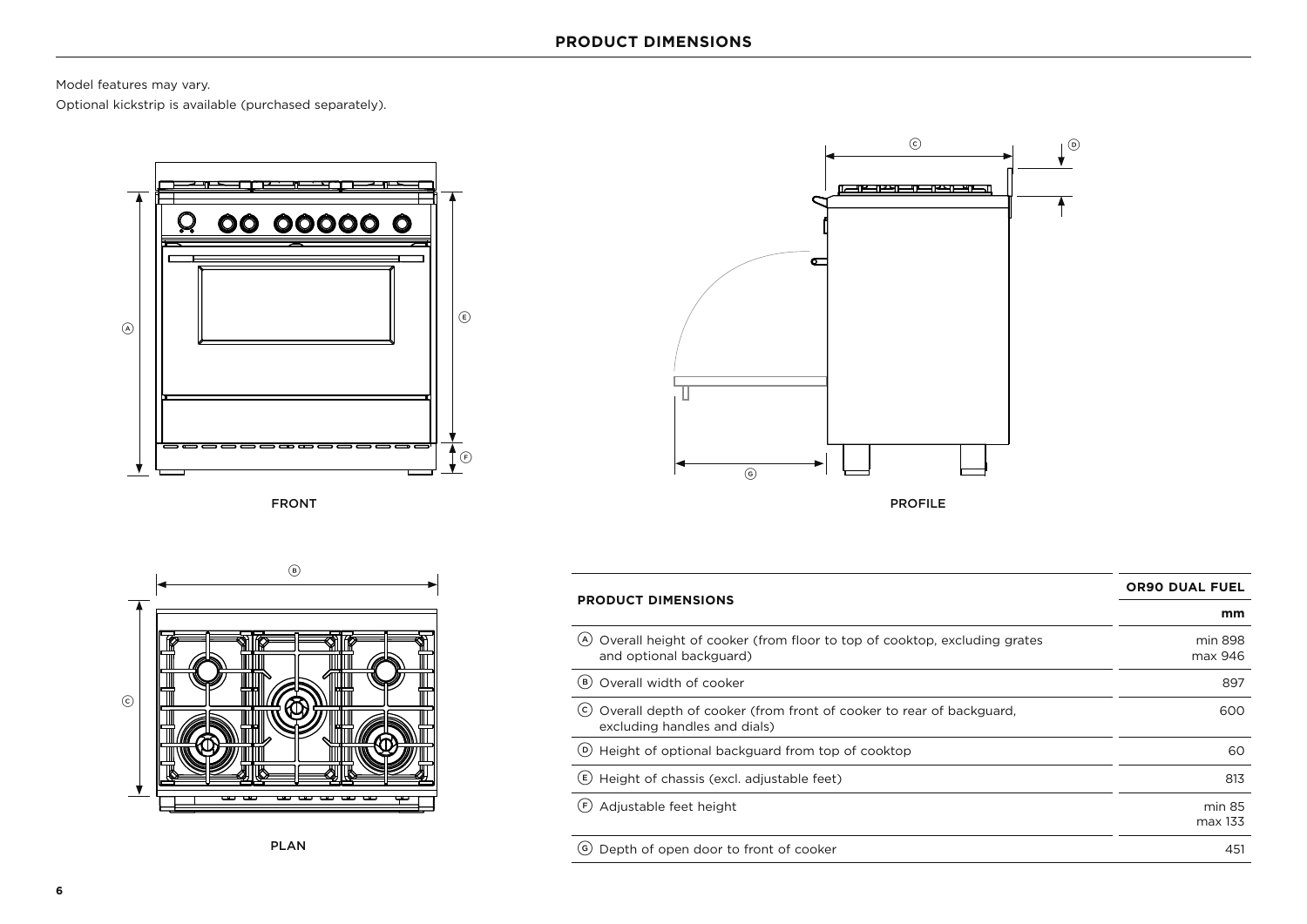Model features may vary.

Optional kickstrip is available (purchased separately).



FRONT



PROFILE



| <b>PRODUCT DIMENSIONS</b>                                                                                  | <b>OR90 DUAL FUEL</b> |
|------------------------------------------------------------------------------------------------------------|-----------------------|
|                                                                                                            | mm                    |
| Overall height of cooker (from floor to top of cooktop, excluding grates<br>(A)<br>and optional backguard) | min 898<br>max 946    |
| Overall width of cooker<br>(B)                                                                             | 897                   |
| (c)<br>Overall depth of cooker (from front of cooker to rear of backguard,<br>excluding handles and dials) | 600                   |
| (D) Height of optional backguard from top of cooktop                                                       | 60                    |
| Height of chassis (excl. adjustable feet)<br>(E)                                                           | 813                   |
| Adjustable feet height<br>(F)                                                                              | min 85<br>max 133     |
| Depth of open door to front of cooker<br>( G )                                                             | 451                   |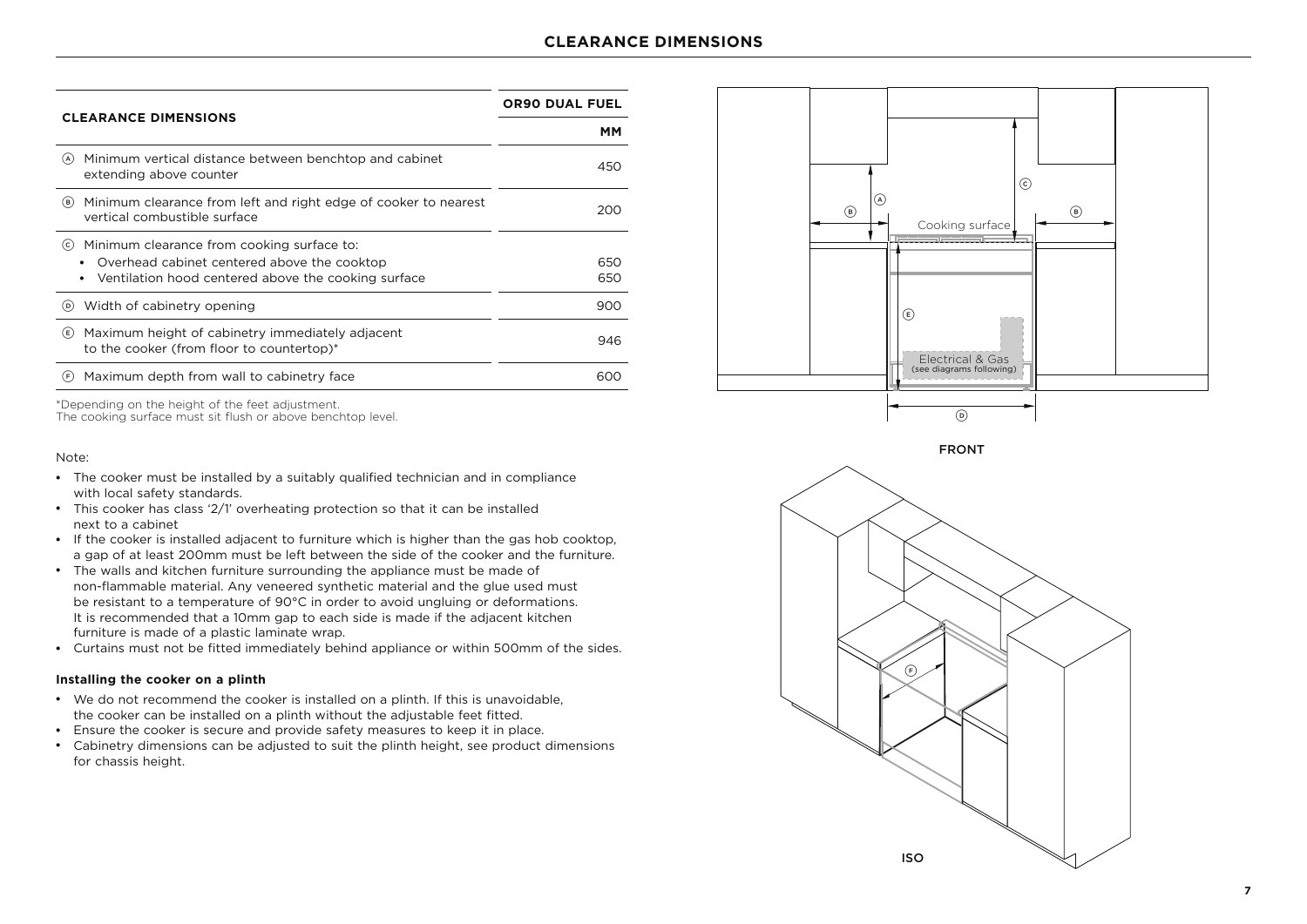|                                                                                                        | <b>OR90 DUAL FUEL</b> |  |
|--------------------------------------------------------------------------------------------------------|-----------------------|--|
| <b>CLEARANCE DIMENSIONS</b>                                                                            | мм                    |  |
| Minimum vertical distance between benchtop and cabinet<br>(A)<br>extending above counter               | 450                   |  |
| Minimum clearance from left and right edge of cooker to nearest<br>(в)<br>vertical combustible surface | 200                   |  |
| Minimum clearance from cooking surface to:<br>(c)                                                      |                       |  |
| Overhead cabinet centered above the cooktop<br>$\bullet$                                               | 650                   |  |
| Ventilation hood centered above the cooking surface<br>٠                                               | 650                   |  |
| Width of cabinetry opening<br>(D)                                                                      | 900                   |  |
| Maximum height of cabinetry immediately adjacent<br>(E)<br>to the cooker (from floor to countertop)*   | 946                   |  |
| Maximum depth from wall to cabinetry face<br>(F)                                                       | 600                   |  |

\*Depending on the height of the feet adjustment.

The cooking surface must sit flush or above benchtop level.

#### Note:

- The cooker must be installed by a suitably qualified technician and in compliance with local safety standards.
- This cooker has class '2/1' overheating protection so that it can be installed next to a cabinet
- If the cooker is installed adjacent to furniture which is higher than the gas hob cooktop, a gap of at least 200mm must be left between the side of the cooker and the furniture.
- The walls and kitchen furniture surrounding the appliance must be made of non-flammable material. Any veneered synthetic material and the glue used must be resistant to a temperature of 90°C in order to avoid ungluing or deformations. It is recommended that a 10mm gap to each side is made if the adjacent kitchen furniture is made of a plastic laminate wrap.
- Curtains must not be fitted immediately behind appliance or within 500mm of the sides.

#### **Installing the cooker on a plinth**

- We do not recommend the cooker is installed on a plinth. If this is unavoidable, the cooker can be installed on a plinth without the adjustable feet fitted.
- Ensure the cooker is secure and provide safety measures to keep it in place.
- Cabinetry dimensions can be adjusted to suit the plinth height, see product dimensions for chassis height.





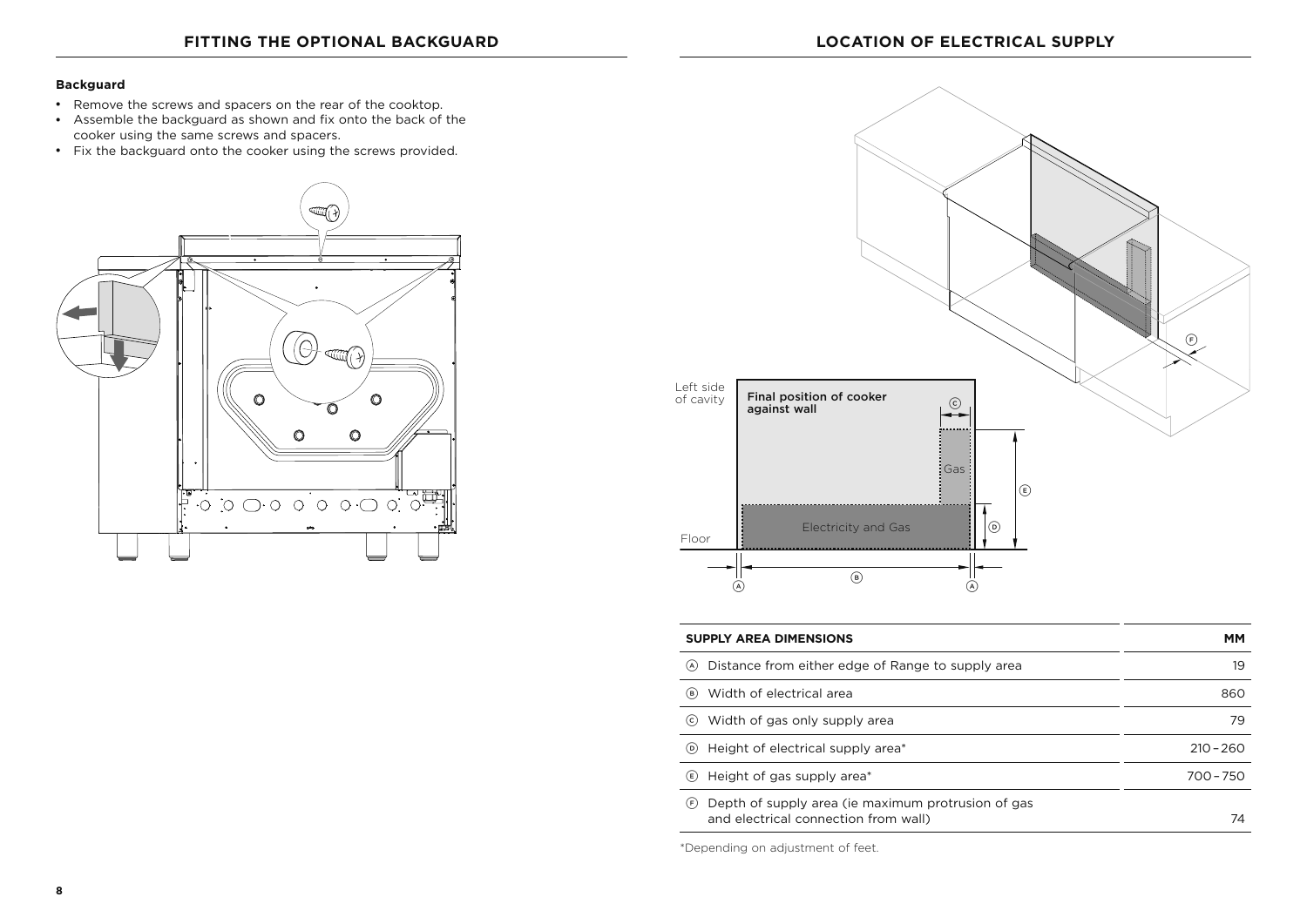#### **Backguard**

- Remove the screws and spacers on the rear of the cooktop.
- Assemble the backguard as shown and fix onto the back of the cooker using the same screws and spacers.
- Fix the backguard onto the cooker using the screws provided.





| <b>SUPPLY AREA DIMENSIONS</b>                                                                     | MМ          |
|---------------------------------------------------------------------------------------------------|-------------|
| Distance from either edge of Range to supply area<br>(A)                                          | 19          |
| Width of electrical area<br>(B)                                                                   | 860         |
| Width of gas only supply area<br>(c)                                                              | 79          |
| Height of electrical supply area*<br>(D)                                                          | $210 - 260$ |
| Height of gas supply area*<br>(E)                                                                 | $700 - 750$ |
| Depth of supply area (ie maximum protrusion of gas<br>(F)<br>and electrical connection from wall) | 74          |

\*Depending on adjustment of feet.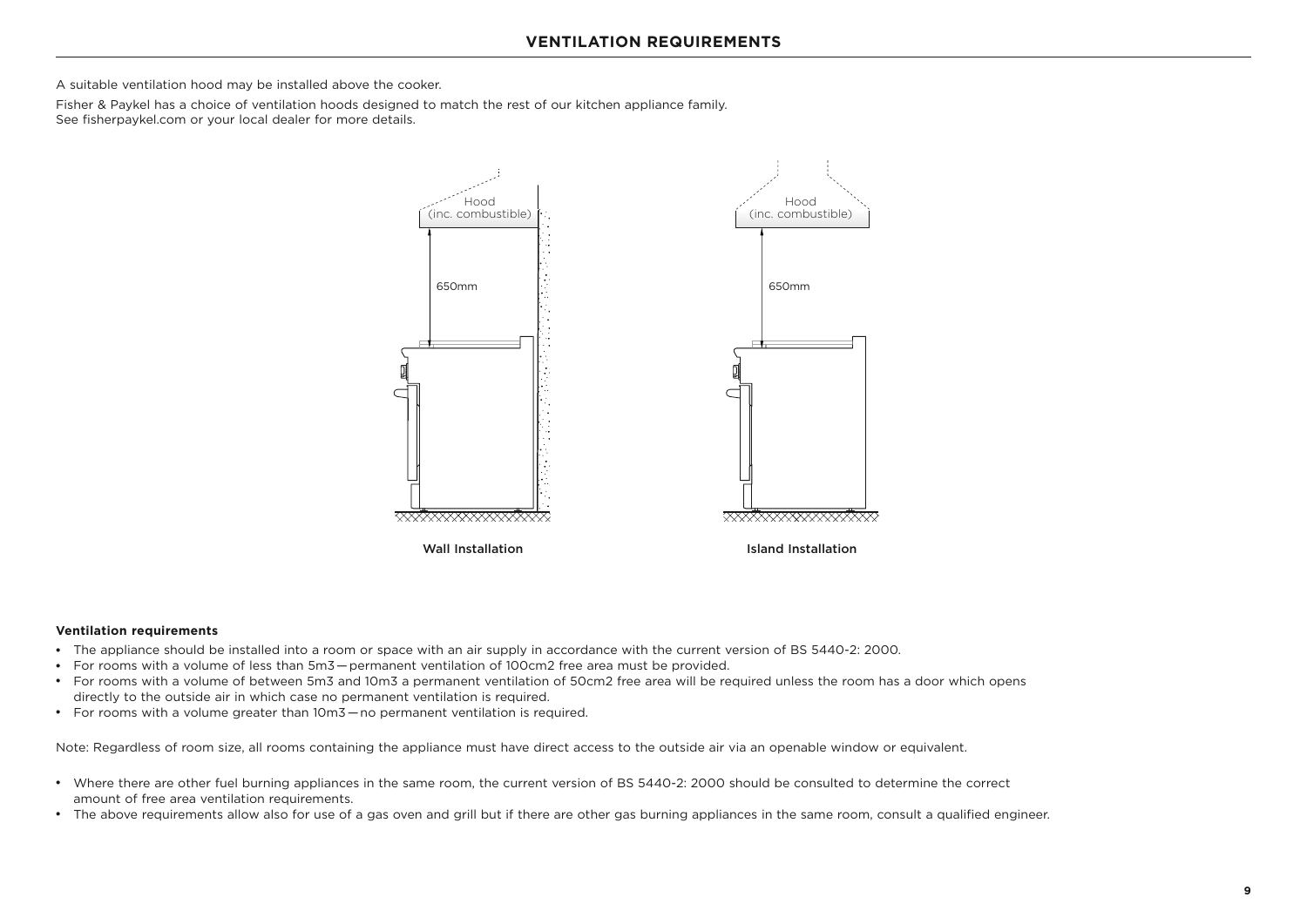A suitable ventilation hood may be installed above the cooker.

Fisher & Paykel has a choice of ventilation hoods designed to match the rest of our kitchen appliance family. See fisherpaykel.com or your local dealer for more details.



#### **Ventilation requirements**

- The appliance should be installed into a room or space with an air supply in accordance with the current version of BS 5440-2: 2000.
- For rooms with a volume of less than 5m3 permanent ventilation of 100cm2 free area must be provided.
- For rooms with a volume of between 5m3 and 10m3 a permanent ventilation of 50cm2 free area will be required unless the room has a door which opens directly to the outside air in which case no permanent ventilation is required.
- For rooms with a volume greater than 10m3 no permanent ventilation is required.

Note: Regardless of room size, all rooms containing the appliance must have direct access to the outside air via an openable window or equivalent.

- Where there are other fuel burning appliances in the same room, the current version of BS 5440-2: 2000 should be consulted to determine the correct amount of free area ventilation requirements.
- The above requirements allow also for use of a gas oven and grill but if there are other gas burning appliances in the same room, consult a qualified engineer.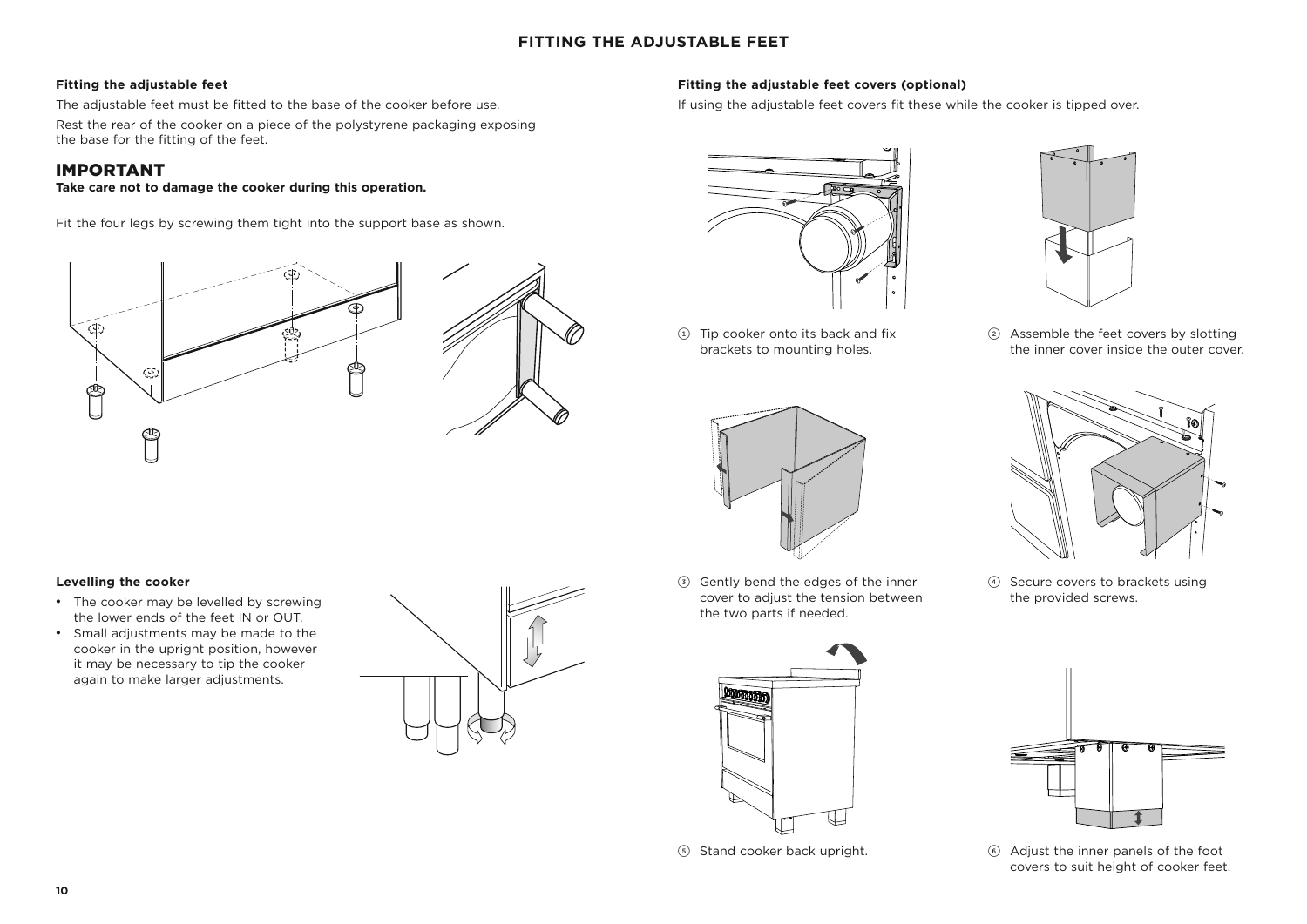#### **Fitting the adjustable feet**

The adjustable feet must be fitted to the base of the cooker before use.

Rest the rear of the cooker on a piece of the polystyrene packaging exposing the base for the fitting of the feet.

## IMPORTANT

#### **Take care not to damage the cooker during this operation.**

Fit the four legs by screwing them tight into the support base as shown.





 $(1)$  Tip cooker onto its back and fix brackets to mounting holes.

**Fitting the adjustable feet covers (optional)** 

If using the adjustable feet covers fit these while the cooker is tipped over.



3 Gently bend the edges of the inner cover to adjust the tension between the two parts if needed.





2 Assemble the feet covers by slotting the inner cover inside the outer cover.



4 Secure covers to brackets using the provided screws.



5 Stand cooker back upright. 6 Adjust the inner panels of the foot covers to suit height of cooker feet.

#### **Levelling the cooker**

- The cooker may be levelled by screwing the lower ends of the feet IN or OUT.
- Small adjustments may be made to the cooker in the upright position, however it may be necessary to tip the cooker again to make larger adjustments.

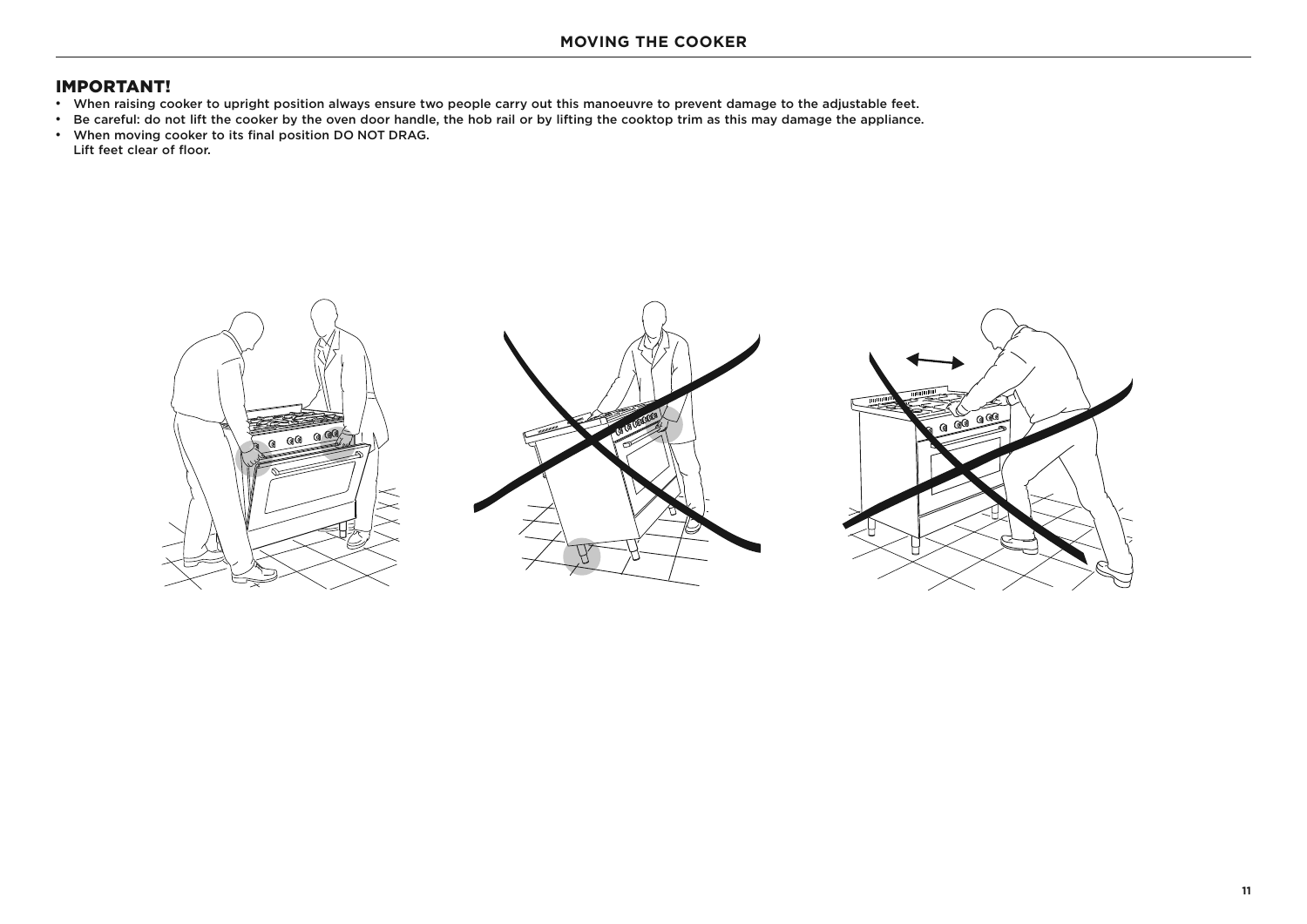- When raising cooker to upright position always ensure two people carry out this manoeuvre to prevent damage to the adjustable feet.
- \* Be careful: do not lift the cooker by the oven door handle, the hob rail or by lifting the cooktop trim as this may damage the appliance.
- When moving cooker to its final position DO NOT DRAG. Lift feet clear of floor.

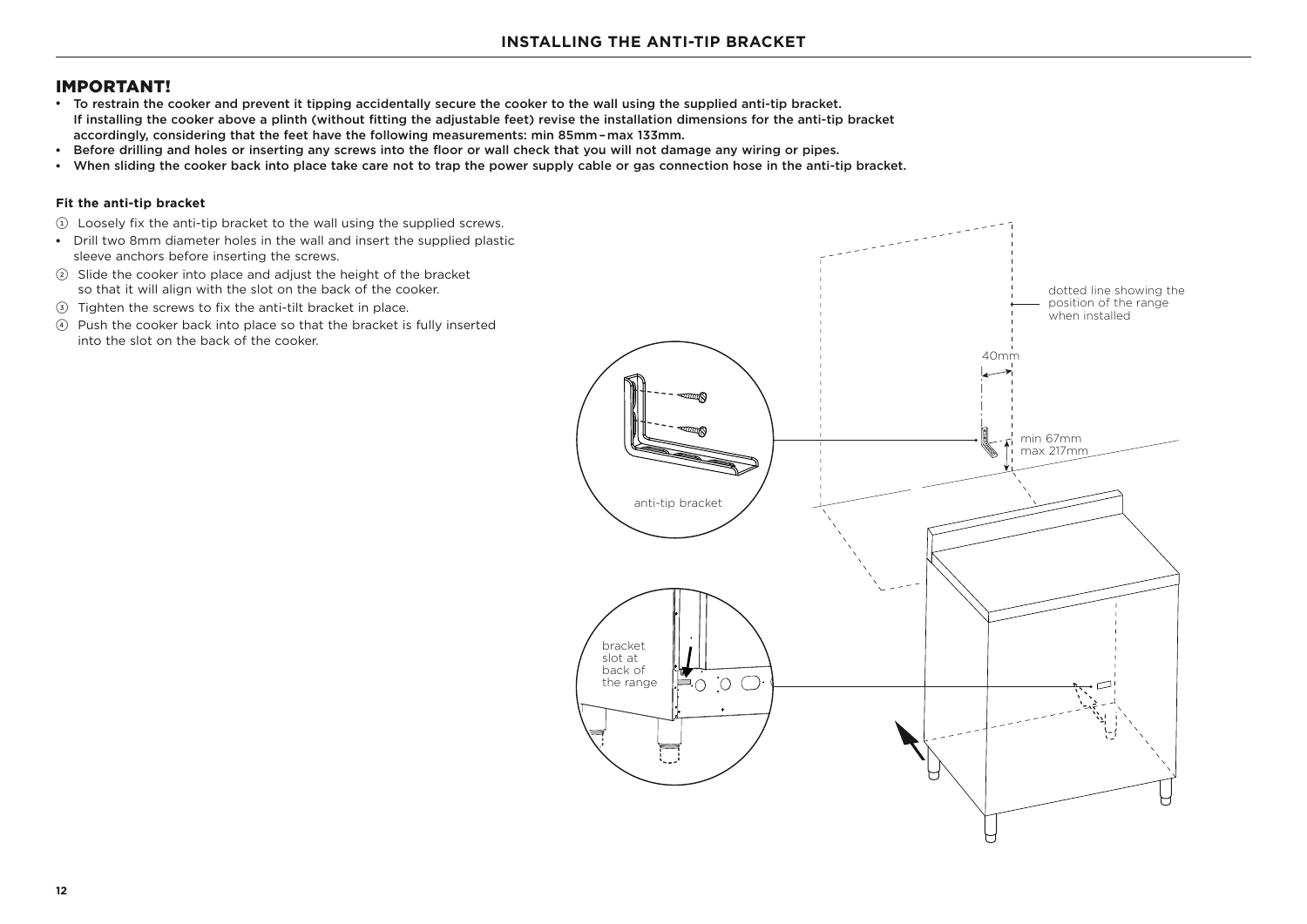- To restrain the cooker and prevent it tipping accidentally secure the cooker to the wall using the supplied anti-tip bracket. If installing the cooker above a plinth (without fitting the adjustable feet) revise the installation dimensions for the anti-tip bracket accordingly, considering that the feet have the following measurements: min 85mm–max 133mm.
- Before drilling and holes or inserting any screws into the floor or wall check that you will not damage any wiring or pipes.
- When sliding the cooker back into place take care not to trap the power supply cable or gas connection hose in the anti-tip bracket.

#### **Fit the anti-tip bracket**

- 1 Loosely fix the anti-tip bracket to the wall using the supplied screws.
- Drill two 8mm diameter holes in the wall and insert the supplied plastic sleeve anchors before inserting the screws.
- 2 Slide the cooker into place and adjust the height of the bracket so that it will align with the slot on the back of the cooker.
- 3 Tighten the screws to fix the anti-tilt bracket in place.
- 4 Push the cooker back into place so that the bracket is fully inserted into the slot on the back of the cooker.

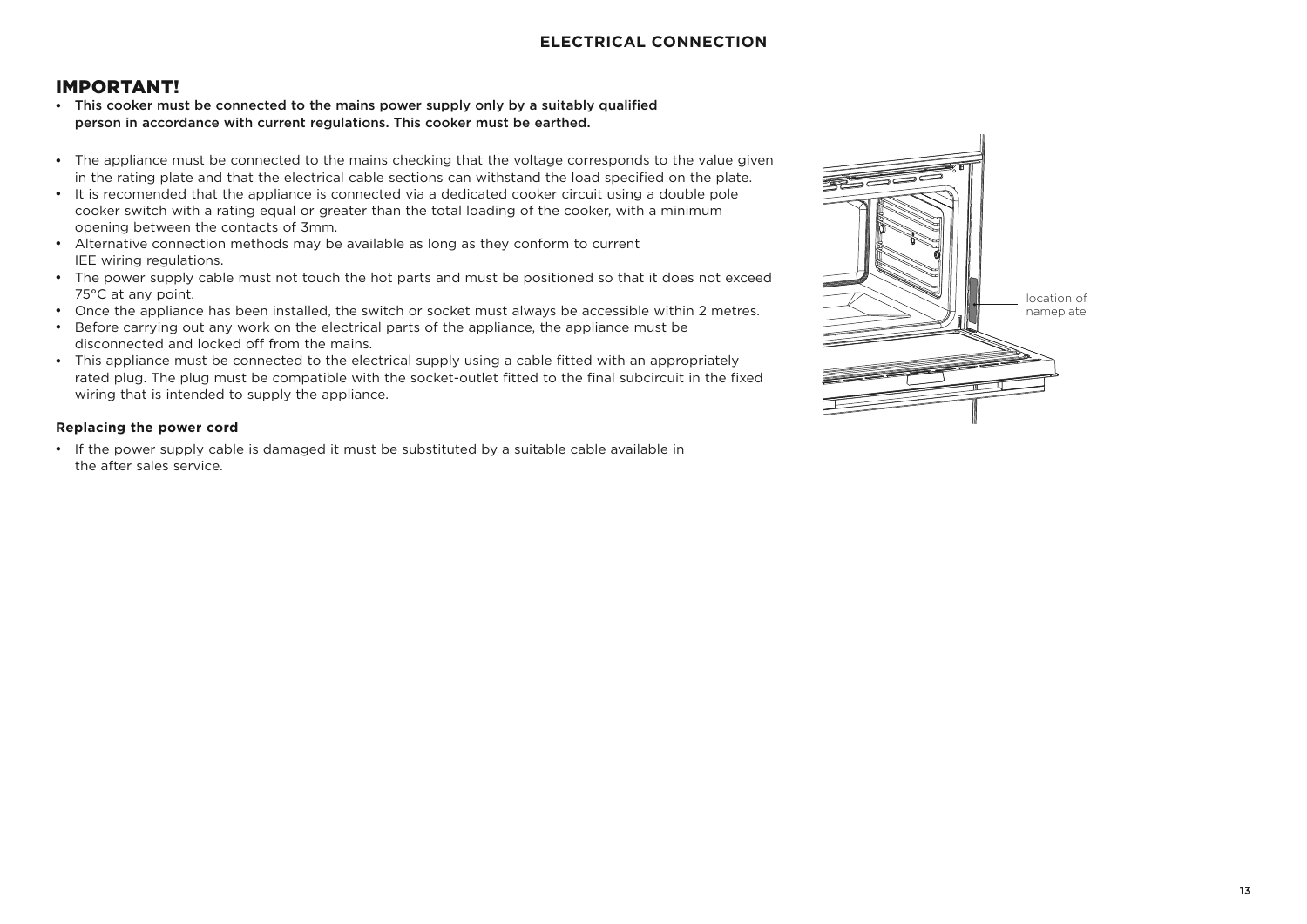- This cooker must be connected to the mains power supply only by a suitably qualified person in accordance with current regulations. This cooker must be earthed.
- The appliance must be connected to the mains checking that the voltage corresponds to the value given in the rating plate and that the electrical cable sections can withstand the load specified on the plate.
- It is recomended that the appliance is connected via a dedicated cooker circuit using a double pole cooker switch with a rating equal or greater than the total loading of the cooker, with a minimum opening between the contacts of 3mm.
- Alternative connection methods may be available as long as they conform to current IEE wiring regulations.
- The power supply cable must not touch the hot parts and must be positioned so that it does not exceed 75°C at any point.
- Once the appliance has been installed, the switch or socket must always be accessible within 2 metres.
- Before carrying out any work on the electrical parts of the appliance, the appliance must be disconnected and locked off from the mains.
- This appliance must be connected to the electrical supply using a cable fitted with an appropriately rated plug. The plug must be compatible with the socket-outlet fitted to the final subcircuit in the fixed wiring that is intended to supply the appliance.

#### **Replacing the power cord**

• If the power supply cable is damaged it must be substituted by a suitable cable available in the after sales service.

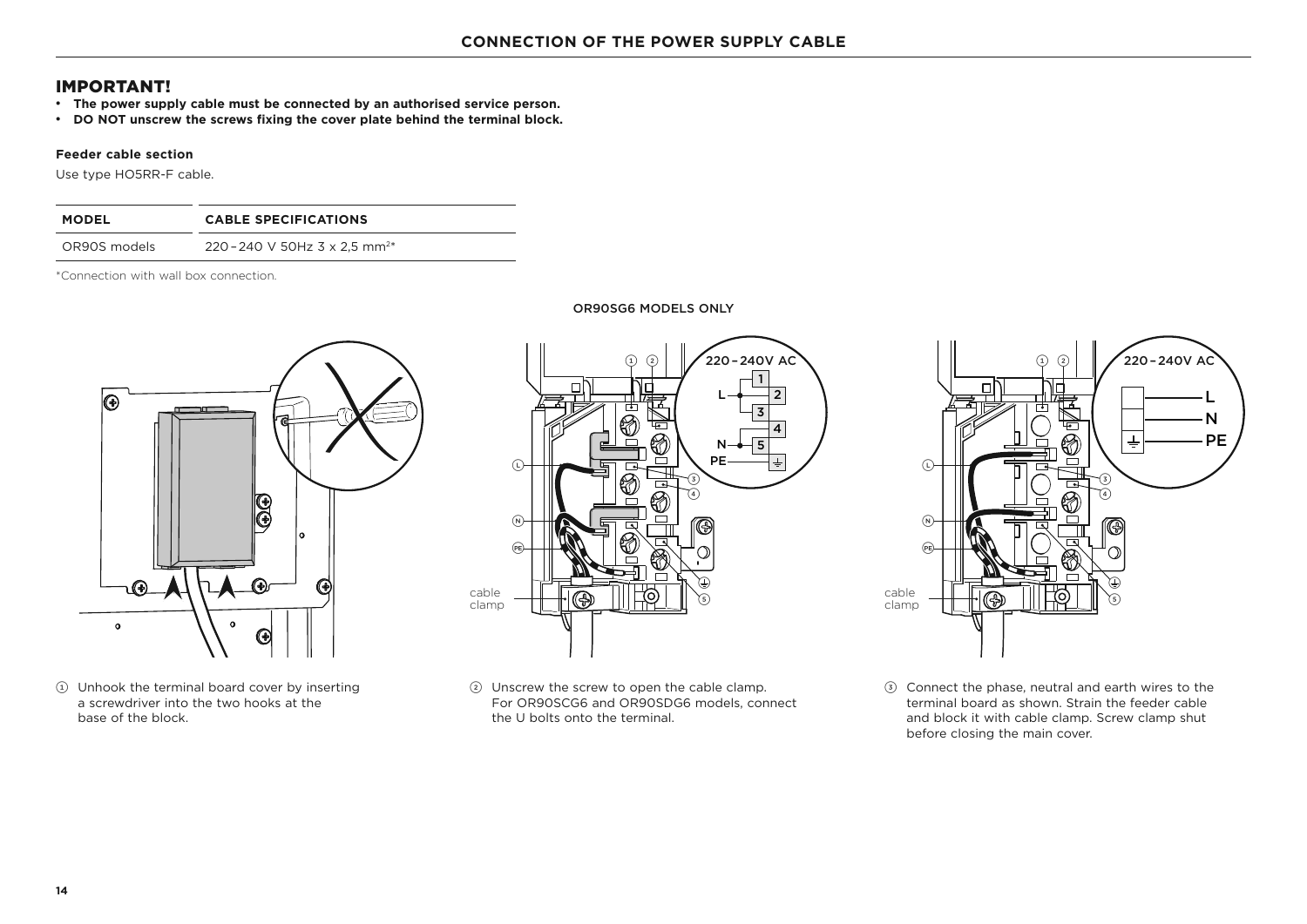- **•** The power supply cable must be connected by an authorised service person.
- <sup>z</sup> **DO NOT unscrew the screws fixing the cover plate behind the terminal block.**

#### **Feeder cable section**

Use type HO5RR-F cable.

| <b>MODEL</b> | <b>CABLE SPECIFICATIONS</b>               |
|--------------|-------------------------------------------|
| OR90S models | 220 - 240 V 50Hz 3 x 2.5 mm <sup>2*</sup> |

\*Connection with wall box connection.



1 Unhook the terminal board cover by inserting a screwdriver into the two hooks at the base of the block.



2 Unscrew the screw to open the cable clamp. For OR90SCG6 and OR90SDG6 models, connect the U bolts onto the terminal.



3 Connect the phase, neutral and earth wires to the terminal board as shown. Strain the feeder cable and block it with cable clamp. Screw clamp shut before closing the main cover.

#### OR90SG6 MODELS ONLY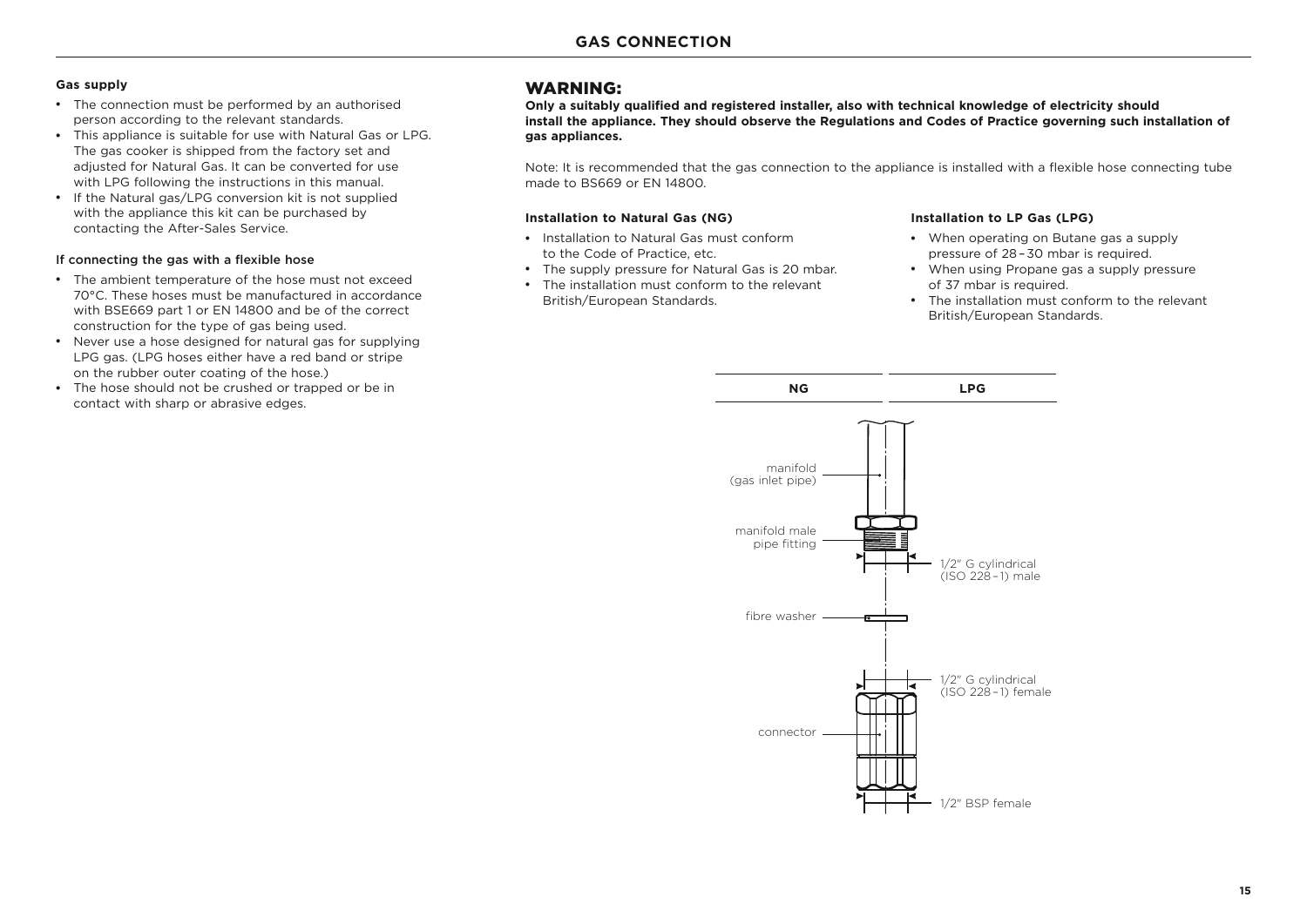#### **Gas supply**

- The connection must be performed by an authorised person according to the relevant standards.
- This appliance is suitable for use with Natural Gas or LPG. The gas cooker is shipped from the factory set and adjusted for Natural Gas. It can be converted for use with LPG following the instructions in this manual.
- If the Natural gas/LPG conversion kit is not supplied with the appliance this kit can be purchased by contacting the After-Sales Service.

#### If connecting the gas with a flexible hose

- The ambient temperature of the hose must not exceed 70°C. These hoses must be manufactured in accordance with BSE669 part 1 or EN 14800 and be of the correct construction for the type of gas being used.
- Never use a hose designed for natural gas for supplying LPG gas. (LPG hoses either have a red band or stripe on the rubber outer coating of the hose.)
- The hose should not be crushed or trapped or be in contact with sharp or abrasive edges.

#### WARNING:

**Only a suitably qualified and registered installer, also with technical knowledge of electricity should install the appliance. They should observe the Regulations and Codes of Practice governing such installation of gas appliances.** 

Note: It is recommended that the gas connection to the appliance is installed with a flexible hose connecting tube made to BS669 or EN 14800.

#### **Installation to Natural Gas (NG)**

- Installation to Natural Gas must conform to the Code of Practice, etc.
- The supply pressure for Natural Gas is 20 mbar.
- The installation must conform to the relevant British/European Standards.

#### **Installation to LP Gas (LPG)**

- When operating on Butane gas a supply pressure of 28–30 mbar is required.
- When using Propane gas a supply pressure of 37 mbar is required.
- The installation must conform to the relevant British/European Standards.

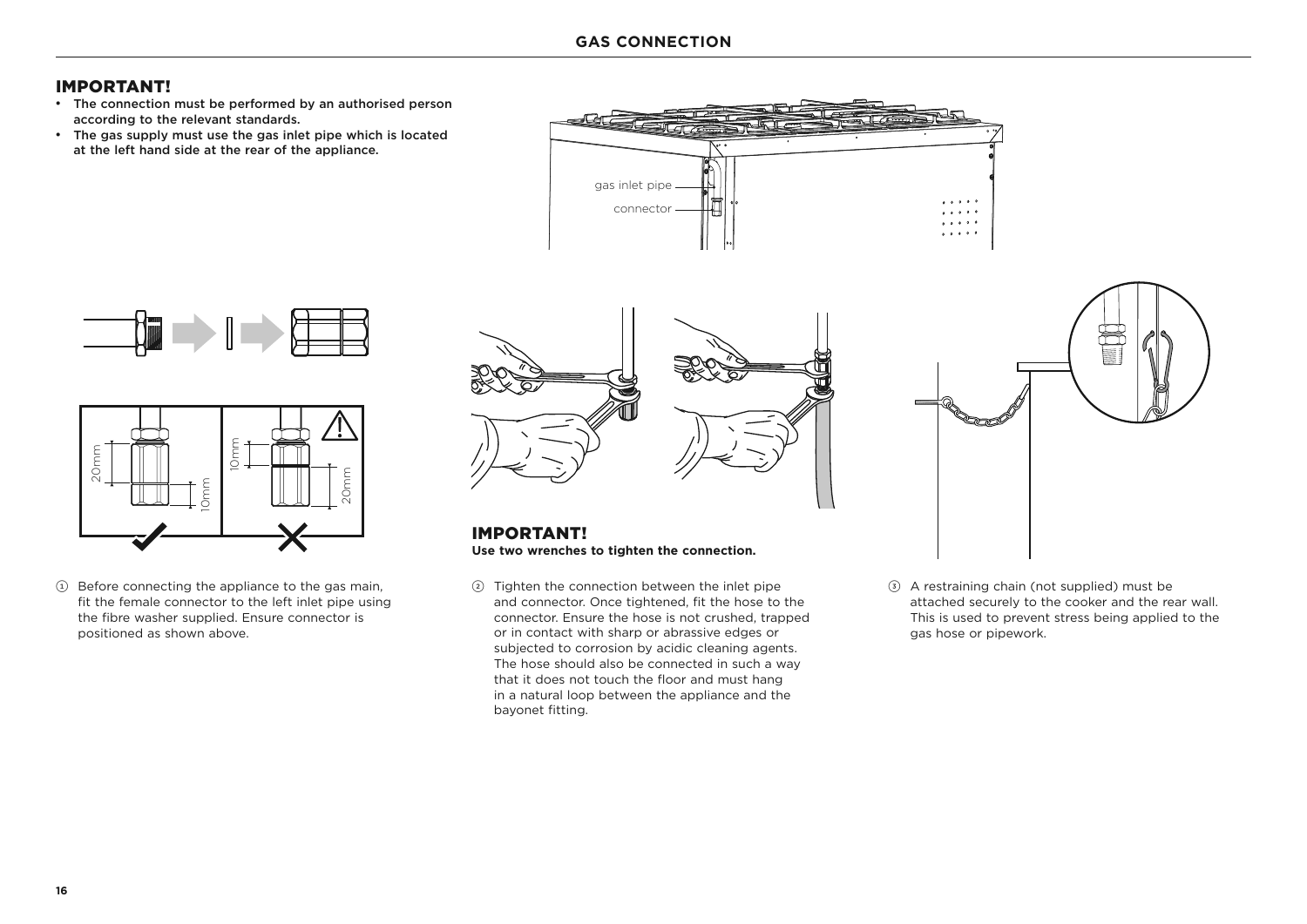- The connection must be performed by an authorised person according to the relevant standards.
- The gas supply must use the gas inlet pipe which is located at the left hand side at the rear of the appliance.







 $(1)$  Before connecting the appliance to the gas main, fit the female connector to the left inlet pipe using the fibre washer supplied. Ensure connector is positioned as shown above.



IMPORTANT! **Use two wrenches to tighten the connection.**

2 Tighten the connection between the inlet pipe and connector. Once tightened, fit the hose to the connector. Ensure the hose is not crushed, trapped or in contact with sharp or abrassive edges or subjected to corrosion by acidic cleaning agents. The hose should also be connected in such a way that it does not touch the floor and must hang in a natural loop between the appliance and the bayonet fitting.



3 A restraining chain (not supplied) must be attached securely to the cooker and the rear wall. This is used to prevent stress being applied to the gas hose or pipework.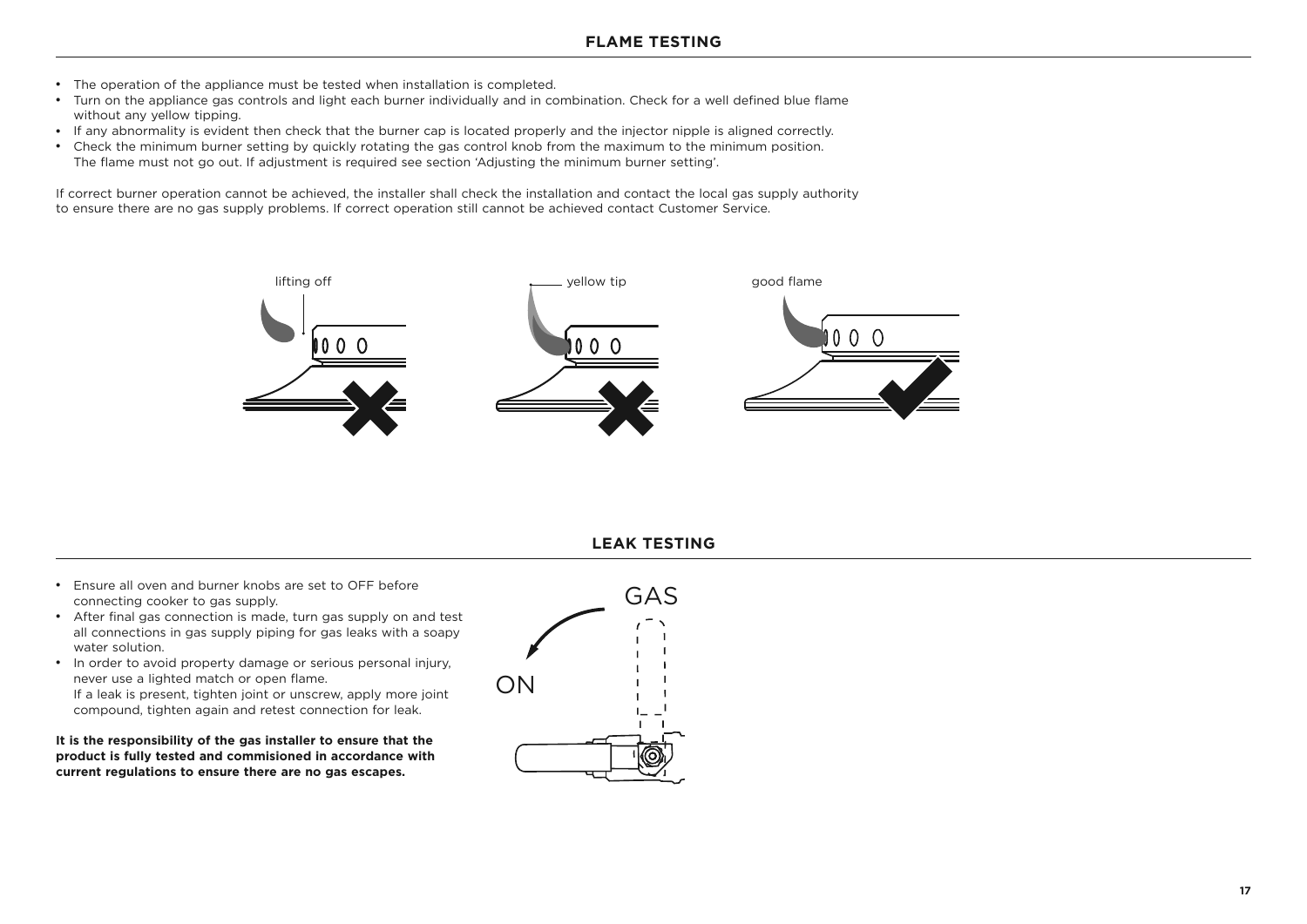- The operation of the appliance must be tested when installation is completed.
- Turn on the appliance gas controls and light each burner individually and in combination. Check for a well defined blue flame without any yellow tipping.
- If any abnormality is evident then check that the burner cap is located properly and the injector nipple is aligned correctly.
- Check the minimum burner setting by quickly rotating the gas control knob from the maximum to the minimum position. The flame must not go out. If adjustment is required see section 'Adjusting the minimum burner setting'.

If correct burner operation cannot be achieved, the installer shall check the installation and contact the local gas supply authority to ensure there are no gas supply problems. If correct operation still cannot be achieved contact Customer Service.



#### **LEAK TESTING**

- Ensure all oven and burner knobs are set to OFF before connecting cooker to gas supply.
- After final gas connection is made, turn gas supply on and test all connections in gas supply piping for gas leaks with a soapy water solution.
- In order to avoid property damage or serious personal injury, never use a Iighted match or open flame. If a leak is present, tighten joint or unscrew, apply more joint compound, tighten again and retest connection for leak.

**It is the responsibility of the gas installer to ensure that the product is fully tested and commisioned in accordance with current regulations to ensure there are no gas escapes.**

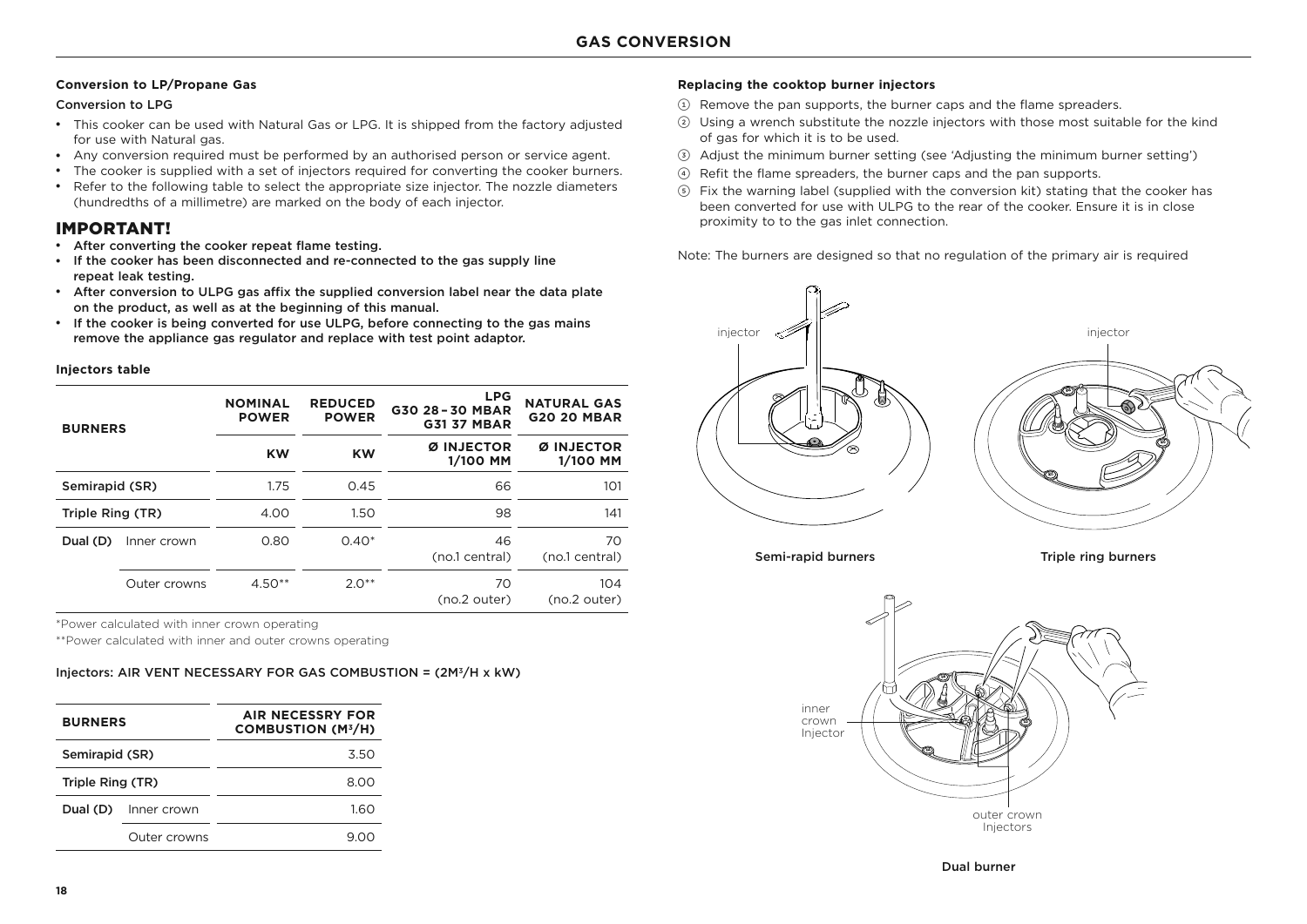#### **Conversion to LP/Propane Gas**

#### Conversion to LPG

- This cooker can be used with Natural Gas or LPG. It is shipped from the factory adjusted for use with Natural gas.
- Any conversion required must be performed by an authorised person or service agent.
- The cooker is supplied with a set of injectors required for converting the cooker burners.
- Refer to the following table to select the appropriate size injector. The nozzle diameters (hundredths of a millimetre) are marked on the body of each injector.

#### IMPORTANT!

- After converting the cooker repeat flame testing.
- If the cooker has been disconnected and re-connected to the gas supply line repeat leak testing.
- After conversion to ULPG gas affix the supplied conversion label near the data plate on the product, as well as at the beginning of this manual.
- If the cooker is being converted for use ULPG, before connecting to the gas mains remove the appliance gas regulator and replace with test point adaptor.

#### **Injectors table**

| <b>BURNERS</b>   |              | <b>NOMINAL</b><br><b>POWER</b> | <b>REDUCED</b><br><b>POWER</b> | <b>LPG</b><br>G30 28-30 MBAR<br><b>G31 37 MBAR</b> | <b>NATURAL GAS</b><br><b>G20 20 MBAR</b> |
|------------------|--------------|--------------------------------|--------------------------------|----------------------------------------------------|------------------------------------------|
|                  |              | <b>KW</b>                      | <b>KW</b>                      | <b>INJECTOR</b><br>Ø<br>1/100 MM                   | Ø INJECTOR<br>1/100 MM                   |
| Semirapid (SR)   |              | 1.75                           | 0.45                           | 66                                                 | 101                                      |
| Triple Ring (TR) |              | 4.00                           | 1.50                           | 98                                                 | 141                                      |
| Dual (D)         | Inner crown  | 0.80                           | $0.40*$                        | 46<br>(no.1 central)                               | 70<br>(no.1 central)                     |
|                  | Outer crowns | $4.50**$                       | $2.0**$                        | 70<br>(no.2 outer)                                 | 104<br>(no.2 outer)                      |

\*Power calculated with inner crown operating

\*\*Power calculated with inner and outer crowns operating

#### Injectors: AIR VENT NECESSARY FOR GAS COMBUSTION = (2M3/H x kW)

| <b>BURNERS</b>   |              | AIR NECESSRY FOR<br><b>COMBUSTION (M3/H)</b> |
|------------------|--------------|----------------------------------------------|
| Semirapid (SR)   |              | 3.50                                         |
| Triple Ring (TR) |              | 8.00                                         |
| Dual (D)         | Inner crown  | 1.60                                         |
|                  | Outer crowns | 900                                          |

#### **Replacing the cooktop burner injectors**

- 1 Remove the pan supports, the burner caps and the flame spreaders.
- 2 Using a wrench substitute the nozzle injectors with those most suitable for the kind of gas for which it is to be used.
- 3 Adjust the minimum burner setting (see 'Adjusting the minimum burner setting')
- 4 Refit the flame spreaders, the burner caps and the pan supports.
- 5 Fix the warning label (supplied with the conversion kit) stating that the cooker has been converted for use with ULPG to the rear of the cooker. Ensure it is in close proximity to to the gas inlet connection.

Note: The burners are designed so that no regulation of the primary air is required



Semi-rapid burners Triple ring burners



Dual burner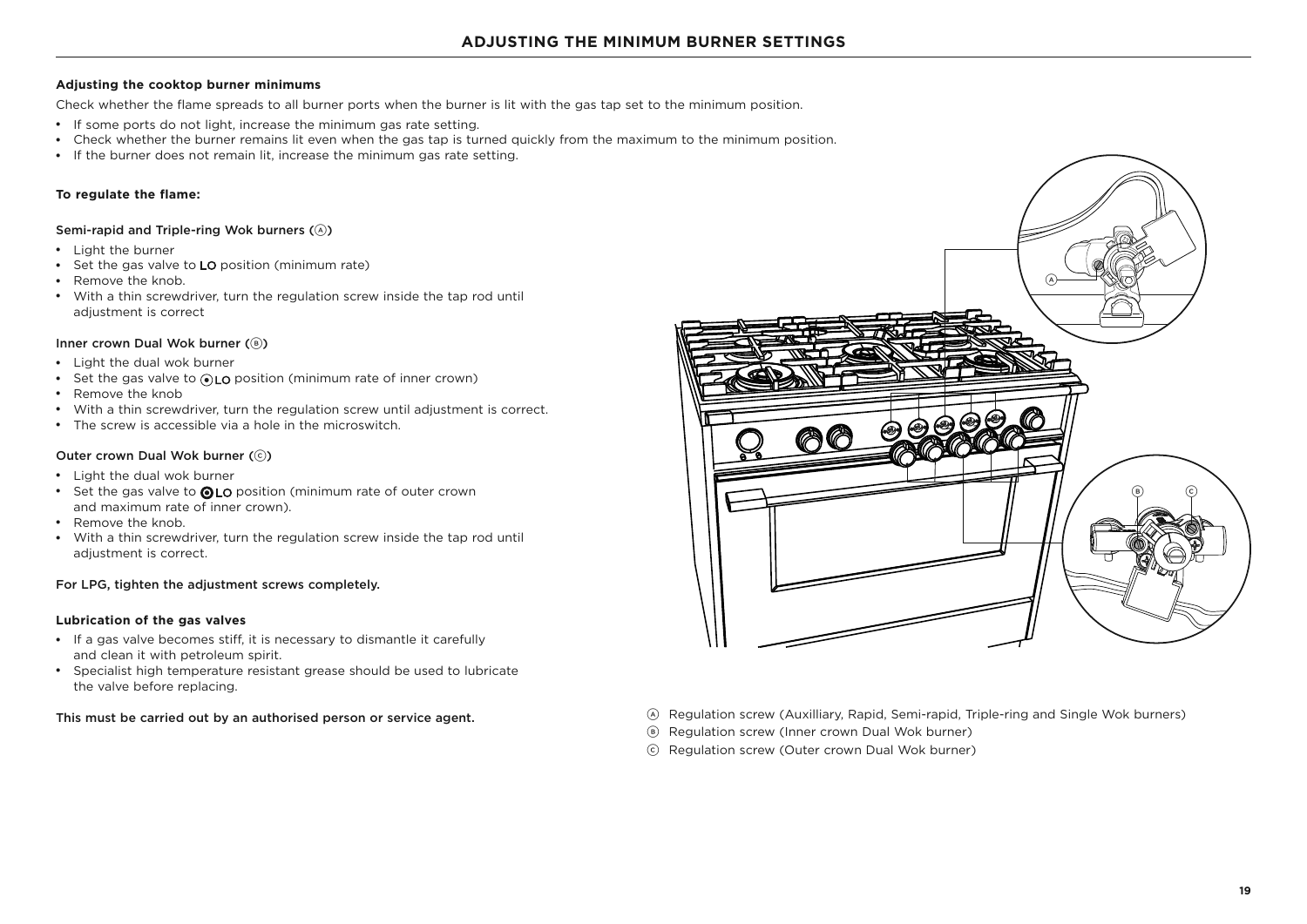#### **Adjusting the cooktop burner minimums**

Check whether the flame spreads to all burner ports when the burner is lit with the gas tap set to the minimum position.

- If some ports do not light, increase the minimum gas rate setting.
- Check whether the burner remains lit even when the gas tap is turned quickly from the maximum to the minimum position.
- If the burner does not remain lit, increase the minimum gas rate setting.

#### **To regulate the flame:**

#### Semi-rapid and Triple-ring Wok burners (A)

- Light the burner
- Set the gas valve to LO position (minimum rate)
- Remove the knob.
- With a thin screwdriver, turn the regulation screw inside the tap rod until adjustment is correct

#### Inner crown Dual Wok burner (8)

- Light the dual wok burner
- Set the gas valve to  $\odot$  LO position (minimum rate of inner crown)
- Remove the knob
- With a thin screwdriver, turn the regulation screw until adjustment is correct.
- The screw is accessible via a hole in the microswitch.

#### Outer crown Dual Wok burner (C)

- Light the dual wok burner
- Set the gas valve to @LO position (minimum rate of outer crown and maximum rate of inner crown).
- Remove the knob.
- With a thin screwdriver, turn the regulation screw inside the tap rod until adjustment is correct.

#### For LPG, tighten the adjustment screws completely.

#### **Lubrication of the gas valves**

- If a gas valve becomes stiff, it is necessary to dismantle it carefully and clean it with petroleum spirit.
- Specialist high temperature resistant grease should be used to lubricate the valve before replacing.



- This must be carried out by an authorised person or service agent. <br>
ARegulation screw (Auxilliary, Rapid, Semi-rapid, Triple-ring and Single Wok burners)
	- B Regulation screw (Inner crown Dual Wok burner)
	- C Regulation screw (Outer crown Dual Wok burner)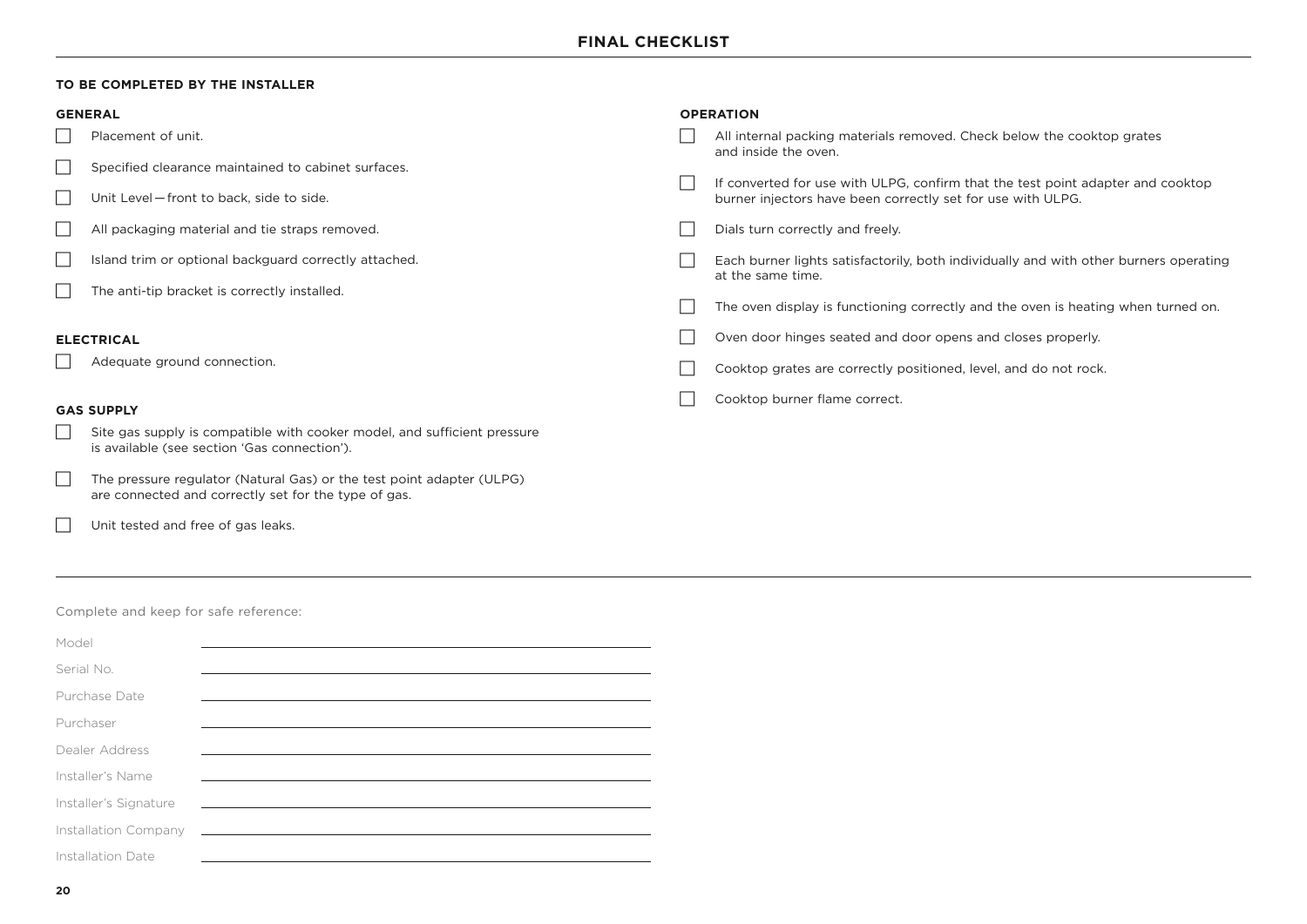**OPERATION**

#### **TO BE COMPLETED BY THE INSTALLER**

#### **GENERAL**

- $\Box$  Placement of unit.
- $\Box$  Specified clearance maintained to cabinet surfaces.
- $\Box$  Unit Level front to back, side to side.
- $\Box$  All packaging material and tie straps removed.
- $\Box$  Island trim or optional backguard correctly attached.
- $\Box$  The anti-tip bracket is correctly installed.

#### **ELECTRICAL**

 $\Box$  Adequate ground connection.

#### **GAS SUPPLY**

- $\Box$  Site gas supply is compatible with cooker model, and sufficient pressure is available (see section 'Gas connection').
- $\Box$  The pressure regulator (Natural Gas) or the test point adapter (ULPG) are connected and correctly set for the type of gas.
- $\Box$  Unit tested and free of gas leaks.

| All internal packing materials removed. Check below the cooktop grates<br>and inside the oven.                                                 |
|------------------------------------------------------------------------------------------------------------------------------------------------|
| If converted for use with ULPG, confirm that the test point adapter and cooktop<br>burner injectors have been correctly set for use with ULPG. |
| Dials turn correctly and freely.                                                                                                               |
| Each burner lights satisfactorily, both individually and with other burners operating<br>at the same time.                                     |
| The oven display is functioning correctly and the oven is heating when turned on.                                                              |
| Oven door hinges seated and door opens and closes properly.                                                                                    |
| Cooktop grates are correctly positioned, level, and do not rock.                                                                               |
| Cooktop burner flame correct.                                                                                                                  |

Complete and keep for safe reference:

| Model                 |                                                                                                                       |  |
|-----------------------|-----------------------------------------------------------------------------------------------------------------------|--|
|                       |                                                                                                                       |  |
| Serial No.            |                                                                                                                       |  |
| Purchase Date         |                                                                                                                       |  |
| Purchaser             |                                                                                                                       |  |
|                       |                                                                                                                       |  |
| Dealer Address        |                                                                                                                       |  |
| Installer's Name      |                                                                                                                       |  |
|                       |                                                                                                                       |  |
| Installer's Signature | <u> 1989 - Johann Johann Stoff, deutscher Stoff und der Stoff und der Stoff und der Stoff und der Stoff und der S</u> |  |
| Installation Company  | <u> 1980 - Johann Stoff, Amerikaansk politiker (* 1980)</u>                                                           |  |
|                       |                                                                                                                       |  |
| Installation Date     |                                                                                                                       |  |